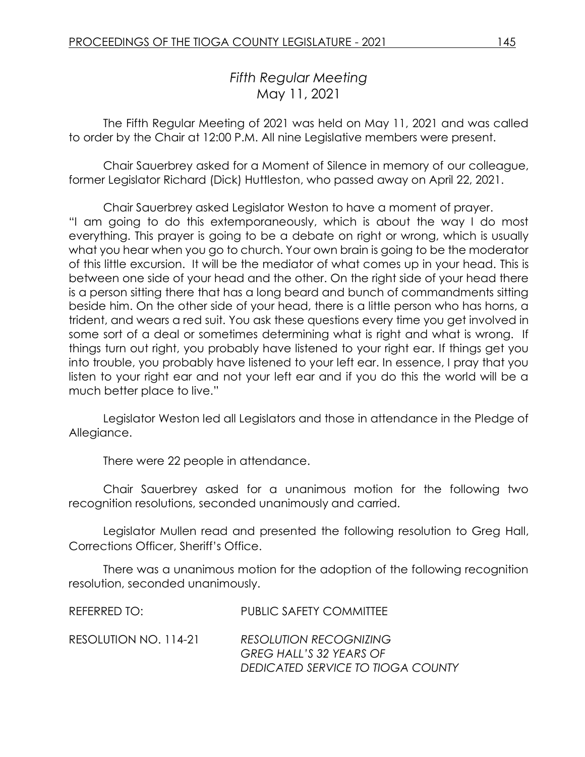# *Fifth Regular Meeting* May 11, 2021

The Fifth Regular Meeting of 2021 was held on May 11, 2021 and was called to order by the Chair at 12:00 P.M. All nine Legislative members were present.

Chair Sauerbrey asked for a Moment of Silence in memory of our colleague, former Legislator Richard (Dick) Huttleston, who passed away on April 22, 2021.

Chair Sauerbrey asked Legislator Weston to have a moment of prayer. "I am going to do this extemporaneously, which is about the way I do most everything. This prayer is going to be a debate on right or wrong, which is usually what you hear when you go to church. Your own brain is going to be the moderator of this little excursion. It will be the mediator of what comes up in your head. This is between one side of your head and the other. On the right side of your head there is a person sitting there that has a long beard and bunch of commandments sitting beside him. On the other side of your head, there is a little person who has horns, a trident, and wears a red suit. You ask these questions every time you get involved in some sort of a deal or sometimes determining what is right and what is wrong. If things turn out right, you probably have listened to your right ear. If things get you into trouble, you probably have listened to your left ear. In essence, I pray that you listen to your right ear and not your left ear and if you do this the world will be a much better place to live."

Legislator Weston led all Legislators and those in attendance in the Pledge of Allegiance.

There were 22 people in attendance.

Chair Sauerbrey asked for a unanimous motion for the following two recognition resolutions, seconded unanimously and carried.

Legislator Mullen read and presented the following resolution to Greg Hall, Corrections Officer, Sheriff's Office.

There was a unanimous motion for the adoption of the following recognition resolution, seconded unanimously.

| REFERRED TO:          | <b>PUBLIC SAFETY COMMITTEE</b>                                                                       |
|-----------------------|------------------------------------------------------------------------------------------------------|
| RESOLUTION NO. 114-21 | <b>RESOLUTION RECOGNIZING</b><br><b>GREG HALL'S 32 YEARS OF</b><br>DEDICATED SERVICE TO TIOGA COUNTY |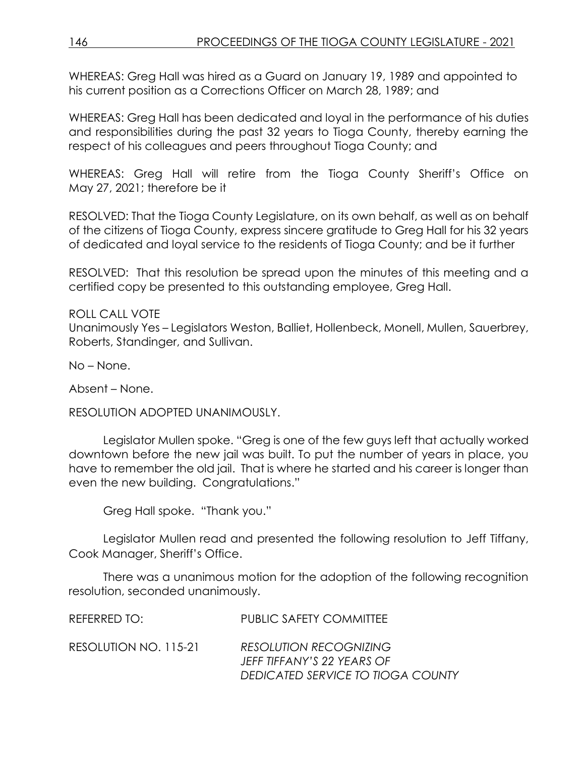WHEREAS: Greg Hall was hired as a Guard on January 19, 1989 and appointed to his current position as a Corrections Officer on March 28, 1989; and

WHEREAS: Greg Hall has been dedicated and loyal in the performance of his duties and responsibilities during the past 32 years to Tioga County, thereby earning the respect of his colleagues and peers throughout Tioga County; and

WHEREAS: Greg Hall will retire from the Tioga County Sheriff's Office on May 27, 2021; therefore be it

RESOLVED: That the Tioga County Legislature, on its own behalf, as well as on behalf of the citizens of Tioga County, express sincere gratitude to Greg Hall for his 32 years of dedicated and loyal service to the residents of Tioga County; and be it further

RESOLVED: That this resolution be spread upon the minutes of this meeting and a certified copy be presented to this outstanding employee, Greg Hall.

ROLL CALL VOTE Unanimously Yes – Legislators Weston, Balliet, Hollenbeck, Monell, Mullen, Sauerbrey, Roberts, Standinger, and Sullivan.

No – None.

Absent – None.

RESOLUTION ADOPTED UNANIMOUSLY.

Legislator Mullen spoke. "Greg is one of the few guys left that actually worked downtown before the new jail was built. To put the number of years in place, you have to remember the old jail. That is where he started and his career is longer than even the new building. Congratulations."

Greg Hall spoke. "Thank you."

Legislator Mullen read and presented the following resolution to Jeff Tiffany, Cook Manager, Sheriff's Office.

There was a unanimous motion for the adoption of the following recognition resolution, seconded unanimously.

| REFERRED TO:          | <b>PUBLIC SAFETY COMMITTEE</b>                                                                   |
|-----------------------|--------------------------------------------------------------------------------------------------|
| RESOLUTION NO. 115-21 | <b>RESOLUTION RECOGNIZING</b><br>JEFF TIFFANY'S 22 YEARS OF<br>DEDICATED SERVICE TO TIOGA COUNTY |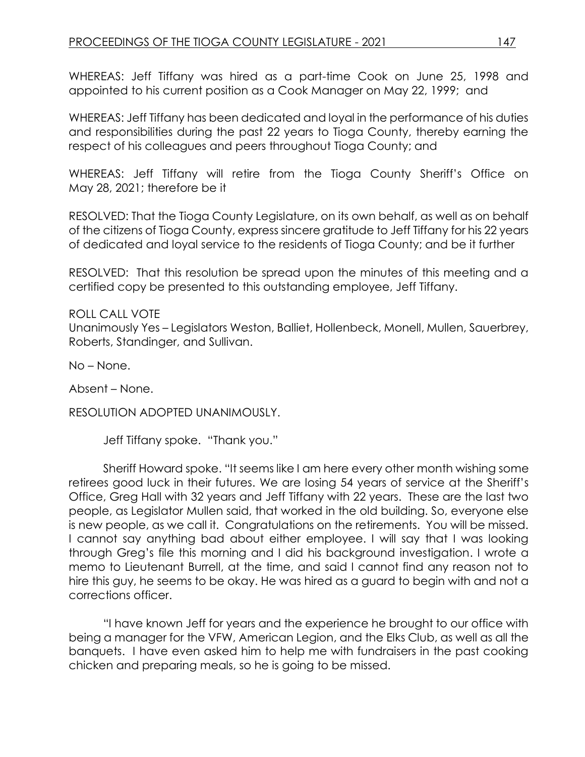WHEREAS: Jeff Tiffany was hired as a part-time Cook on June 25, 1998 and appointed to his current position as a Cook Manager on May 22, 1999; and

WHEREAS: Jeff Tiffany has been dedicated and loyal in the performance of his duties and responsibilities during the past 22 years to Tioga County, thereby earning the respect of his colleagues and peers throughout Tioga County; and

WHEREAS: Jeff Tiffany will retire from the Tioga County Sheriff's Office on May 28, 2021; therefore be it

RESOLVED: That the Tioga County Legislature, on its own behalf, as well as on behalf of the citizens of Tioga County, express sincere gratitude to Jeff Tiffany for his 22 years of dedicated and loyal service to the residents of Tioga County; and be it further

RESOLVED: That this resolution be spread upon the minutes of this meeting and a certified copy be presented to this outstanding employee, Jeff Tiffany.

#### ROLL CALL VOTE

Unanimously Yes – Legislators Weston, Balliet, Hollenbeck, Monell, Mullen, Sauerbrey, Roberts, Standinger, and Sullivan.

No – None.

Absent – None.

RESOLUTION ADOPTED UNANIMOUSLY.

Jeff Tiffany spoke. "Thank you."

Sheriff Howard spoke. "It seems like I am here every other month wishing some retirees good luck in their futures. We are losing 54 years of service at the Sheriff's Office, Greg Hall with 32 years and Jeff Tiffany with 22 years. These are the last two people, as Legislator Mullen said, that worked in the old building. So, everyone else is new people, as we call it. Congratulations on the retirements. You will be missed. I cannot say anything bad about either employee. I will say that I was looking through Greg's file this morning and I did his background investigation. I wrote a memo to Lieutenant Burrell, at the time, and said I cannot find any reason not to hire this guy, he seems to be okay. He was hired as a guard to begin with and not a corrections officer.

"I have known Jeff for years and the experience he brought to our office with being a manager for the VFW, American Legion, and the Elks Club, as well as all the banquets. I have even asked him to help me with fundraisers in the past cooking chicken and preparing meals, so he is going to be missed.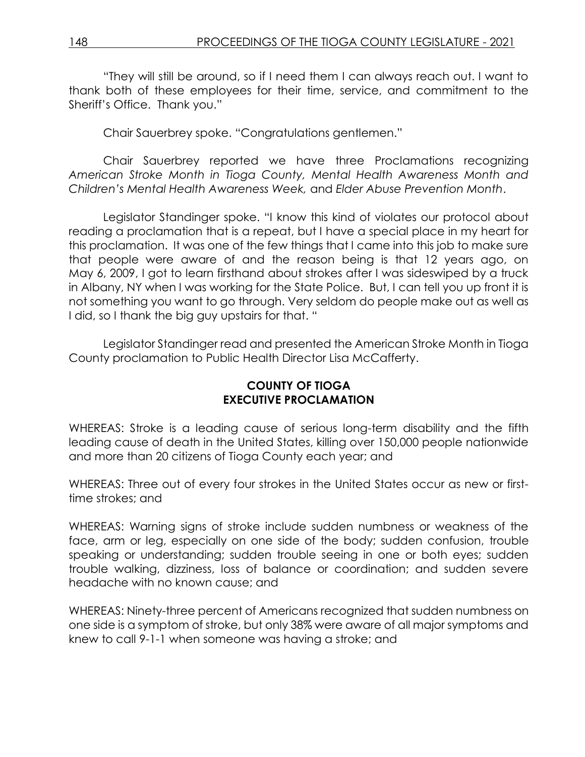"They will still be around, so if I need them I can always reach out. I want to thank both of these employees for their time, service, and commitment to the Sheriff's Office. Thank you."

Chair Sauerbrey spoke. "Congratulations gentlemen."

Chair Sauerbrey reported we have three Proclamations recognizing *American Stroke Month in Tioga County, Mental Health Awareness Month and Children's Mental Health Awareness Week,* and *Elder Abuse Prevention Month*.

Legislator Standinger spoke. "I know this kind of violates our protocol about reading a proclamation that is a repeat, but I have a special place in my heart for this proclamation. It was one of the few things that I came into this job to make sure that people were aware of and the reason being is that 12 years ago, on May 6, 2009, I got to learn firsthand about strokes after I was sideswiped by a truck in Albany, NY when I was working for the State Police. But, I can tell you up front it is not something you want to go through. Very seldom do people make out as well as I did, so I thank the big guy upstairs for that. "

Legislator Standinger read and presented the American Stroke Month in Tioga County proclamation to Public Health Director Lisa McCafferty.

#### **COUNTY OF TIOGA EXECUTIVE PROCLAMATION**

WHEREAS: Stroke is a leading cause of serious long-term disability and the fifth leading cause of death in the United States, killing over 150,000 people nationwide and more than 20 citizens of Tioga County each year; and

WHEREAS: Three out of every four strokes in the United States occur as new or firsttime strokes; and

WHEREAS: Warning signs of stroke include sudden numbness or weakness of the face, arm or leg, especially on one side of the body; sudden confusion, trouble speaking or understanding; sudden trouble seeing in one or both eyes; sudden trouble walking, dizziness, loss of balance or coordination; and sudden severe headache with no known cause; and

WHEREAS: Ninety-three percent of Americans recognized that sudden numbness on one side is a symptom of stroke, but only 38% were aware of all major symptoms and knew to call 9-1-1 when someone was having a stroke; and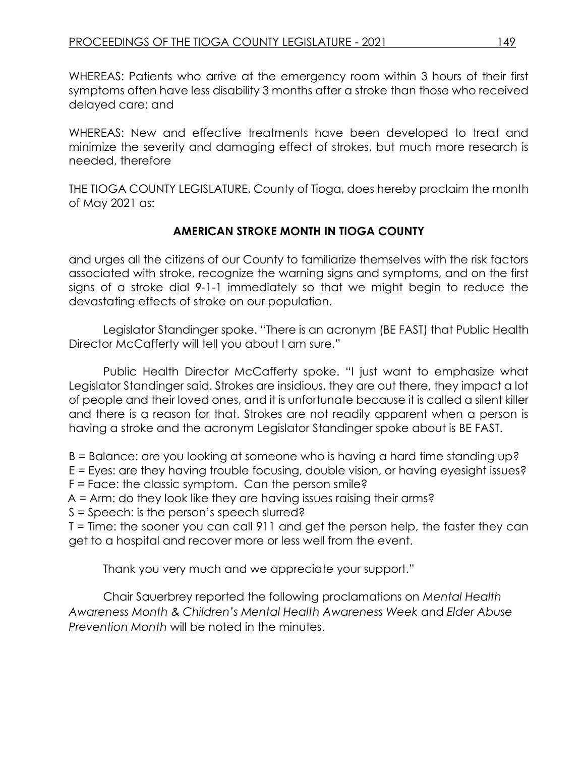WHEREAS: Patients who arrive at the emergency room within 3 hours of their first symptoms often have less disability 3 months after a stroke than those who received delayed care; and

WHEREAS: New and effective treatments have been developed to treat and minimize the severity and damaging effect of strokes, but much more research is needed, therefore

THE TIOGA COUNTY LEGISLATURE, County of Tioga, does hereby proclaim the month of May 2021 as:

## **AMERICAN STROKE MONTH IN TIOGA COUNTY**

and urges all the citizens of our County to familiarize themselves with the risk factors associated with stroke, recognize the warning signs and symptoms, and on the first signs of a stroke dial 9-1-1 immediately so that we might begin to reduce the devastating effects of stroke on our population.

Legislator Standinger spoke. "There is an acronym (BE FAST) that Public Health Director McCafferty will tell you about I am sure."

Public Health Director McCafferty spoke. "I just want to emphasize what Legislator Standinger said. Strokes are insidious, they are out there, they impact a lot of people and their loved ones, and it is unfortunate because it is called a silent killer and there is a reason for that. Strokes are not readily apparent when a person is having a stroke and the acronym Legislator Standinger spoke about is BE FAST.

B = Balance: are you looking at someone who is having a hard time standing up?

E = Eyes: are they having trouble focusing, double vision, or having eyesight issues?

F = Face: the classic symptom. Can the person smile?

A = Arm: do they look like they are having issues raising their arms?

S = Speech: is the person's speech slurred?

T = Time: the sooner you can call 911 and get the person help, the faster they can get to a hospital and recover more or less well from the event.

Thank you very much and we appreciate your support."

Chair Sauerbrey reported the following proclamations on *Mental Health Awareness Month & Children's Mental Health Awareness Week* and *Elder Abuse Prevention Month* will be noted in the minutes.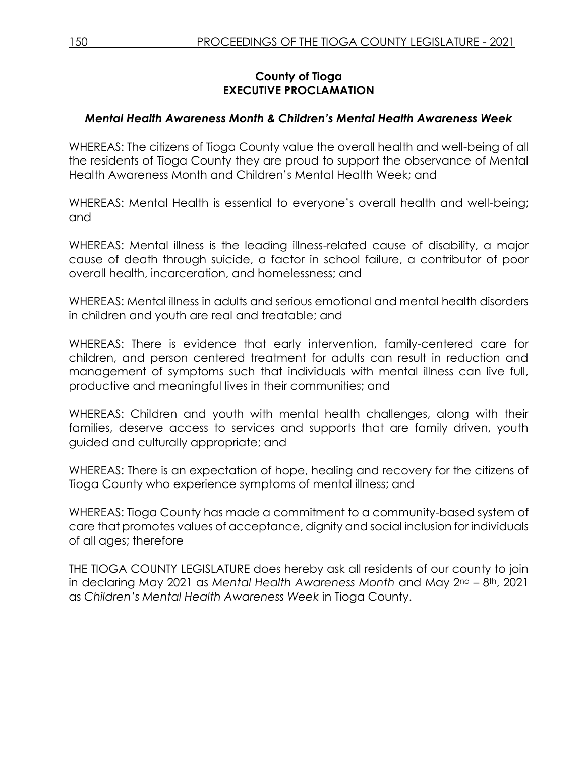### **County of Tioga EXECUTIVE PROCLAMATION**

## *Mental Health Awareness Month & Children's Mental Health Awareness Week*

WHEREAS: The citizens of Tioga County value the overall health and well-being of all the residents of Tioga County they are proud to support the observance of Mental Health Awareness Month and Children's Mental Health Week; and

WHEREAS: Mental Health is essential to everyone's overall health and well-being; and

WHEREAS: Mental illness is the leading illness-related cause of disability, a major cause of death through suicide, a factor in school failure, a contributor of poor overall health, incarceration, and homelessness; and

WHEREAS: Mental illness in adults and serious emotional and mental health disorders in children and youth are real and treatable; and

WHEREAS: There is evidence that early intervention, family-centered care for children, and person centered treatment for adults can result in reduction and management of symptoms such that individuals with mental illness can live full, productive and meaningful lives in their communities; and

WHEREAS: Children and youth with mental health challenges, along with their families, deserve access to services and supports that are family driven, youth guided and culturally appropriate; and

WHEREAS: There is an expectation of hope, healing and recovery for the citizens of Tioga County who experience symptoms of mental illness; and

WHEREAS: Tioga County has made a commitment to a community-based system of care that promotes values of acceptance, dignity and social inclusion for individuals of all ages; therefore

THE TIOGA COUNTY LEGISLATURE does hereby ask all residents of our county to join in declaring May 2021 as *Mental Health Awareness Month* and May 2nd – 8th, 2021 as *Children's Mental Health Awareness Week* in Tioga County.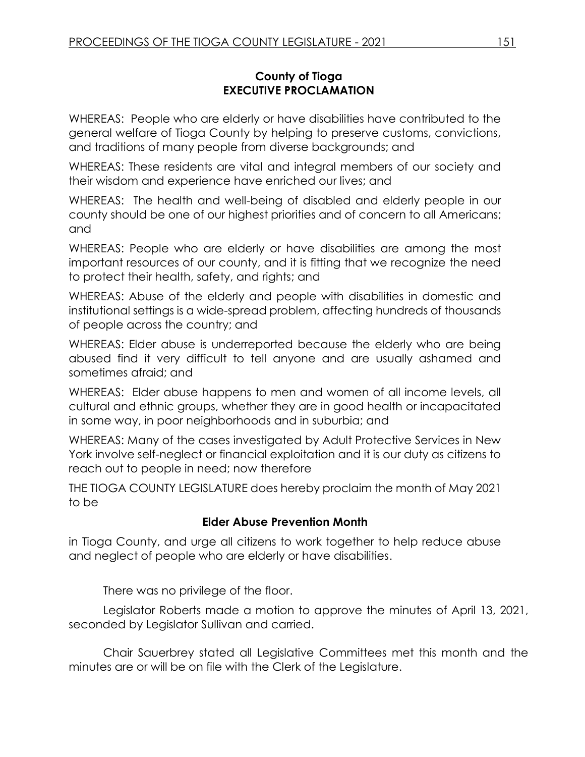#### **County of Tioga EXECUTIVE PROCLAMATION**

WHEREAS: People who are elderly or have disabilities have contributed to the general welfare of Tioga County by helping to preserve customs, convictions, and traditions of many people from diverse backgrounds; and

WHEREAS: These residents are vital and integral members of our society and their wisdom and experience have enriched our lives; and

WHEREAS: The health and well-being of disabled and elderly people in our county should be one of our highest priorities and of concern to all Americans; and

WHEREAS: People who are elderly or have disabilities are among the most important resources of our county, and it is fitting that we recognize the need to protect their health, safety, and rights; and

WHEREAS: Abuse of the elderly and people with disabilities in domestic and institutional settings is a wide-spread problem, affecting hundreds of thousands of people across the country; and

WHEREAS: Elder abuse is underreported because the elderly who are being abused find it very difficult to tell anyone and are usually ashamed and sometimes afraid; and

WHEREAS: Elder abuse happens to men and women of all income levels, all cultural and ethnic groups, whether they are in good health or incapacitated in some way, in poor neighborhoods and in suburbia; and

WHEREAS: Many of the cases investigated by Adult Protective Services in New York involve self-neglect or financial exploitation and it is our duty as citizens to reach out to people in need; now therefore

THE TIOGA COUNTY LEGISLATURE does hereby proclaim the month of May 2021 to be

## **Elder Abuse Prevention Month**

in Tioga County, and urge all citizens to work together to help reduce abuse and neglect of people who are elderly or have disabilities.

There was no privilege of the floor.

Legislator Roberts made a motion to approve the minutes of April 13, 2021, seconded by Legislator Sullivan and carried.

Chair Sauerbrey stated all Legislative Committees met this month and the minutes are or will be on file with the Clerk of the Legislature.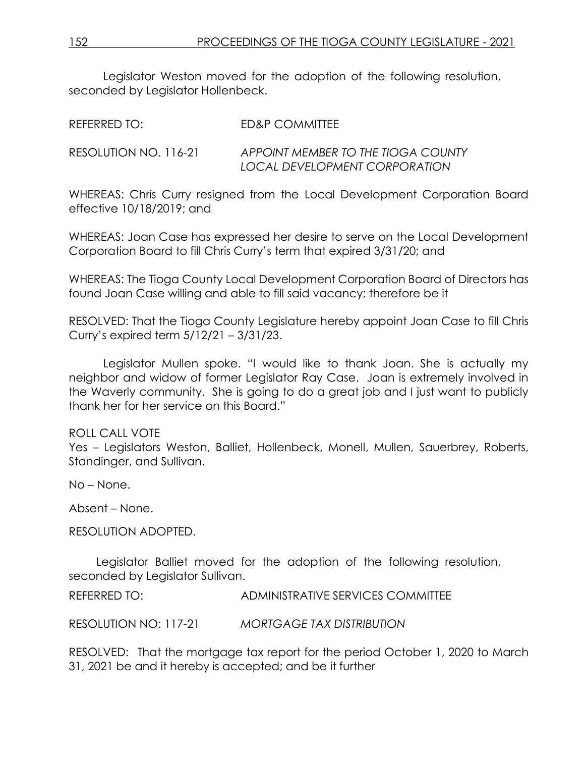Legislator Weston moved for the adoption of the following resolution, seconded by Legislator Hollenbeck.

| REFERRED TO:          | ED&P COMMITTEE                                                      |
|-----------------------|---------------------------------------------------------------------|
| RESOLUTION NO. 116-21 | APPOINT MEMBER TO THE TIOGA COUNTY<br>LOCAL DEVELOPMENT CORPORATION |

WHEREAS: Chris Curry resigned from the Local Development Corporation Board effective 10/18/2019; and

WHEREAS: Joan Case has expressed her desire to serve on the Local Development Corporation Board to fill Chris Curry's term that expired 3/31/20; and

WHEREAS: The Tioga County Local Development Corporation Board of Directors has found Joan Case willing and able to fill said vacancy; therefore be it

RESOLVED: That the Tioga County Legislature hereby appoint Joan Case to fill Chris Curry's expired term 5/12/21 – 3/31/23.

Legislator Mullen spoke. "I would like to thank Joan. She is actually my neighbor and widow of former Legislator Ray Case. Joan is extremely involved in the Waverly community. She is going to do a great job and I just want to publicly thank her for her service on this Board."

#### ROLL CALL VOTE

Yes – Legislators Weston, Balliet, Hollenbeck, Monell, Mullen, Sauerbrey, Roberts, Standinger, and Sullivan.

No – None.

Absent – None.

RESOLUTION ADOPTED.

Legislator Balliet moved for the adoption of the following resolution, seconded by Legislator Sullivan.

REFERRED TO: ADMINISTRATIVE SERVICES COMMITTEE

RESOLUTION NO: 117-21 *MORTGAGE TAX DISTRIBUTION*

RESOLVED: That the mortgage tax report for the period October 1, 2020 to March 31, 2021 be and it hereby is accepted; and be it further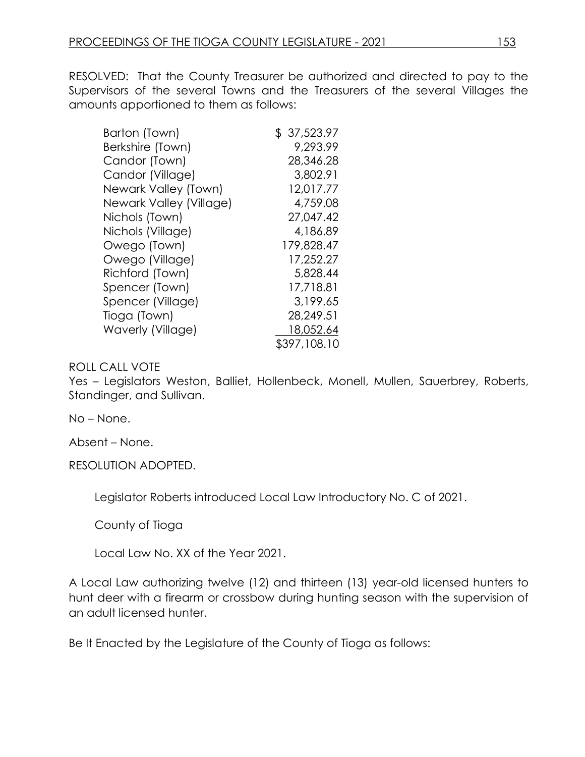RESOLVED: That the County Treasurer be authorized and directed to pay to the Supervisors of the several Towns and the Treasurers of the several Villages the amounts apportioned to them as follows:

| Barton (Town)           | \$37,523.97  |
|-------------------------|--------------|
| Berkshire (Town)        | 9,293.99     |
| Candor (Town)           | 28,346.28    |
| Candor (Village)        | 3,802.91     |
| Newark Valley (Town)    | 12,017.77    |
| Newark Valley (Village) | 4,759.08     |
| Nichols (Town)          | 27,047.42    |
| Nichols (Village)       | 4,186.89     |
| Owego (Town)            | 179,828.47   |
| Owego (Village)         | 17,252.27    |
| Richford (Town)         | 5,828.44     |
| Spencer (Town)          | 17,718.81    |
| Spencer (Village)       | 3,199.65     |
| Tioga (Town)            | 28,249.51    |
| Waverly (Village)       | 18,052.64    |
|                         | \$397,108.10 |

#### ROLL CALL VOTE

Yes – Legislators Weston, Balliet, Hollenbeck, Monell, Mullen, Sauerbrey, Roberts, Standinger, and Sullivan.

No – None.

Absent – None.

RESOLUTION ADOPTED.

Legislator Roberts introduced Local Law Introductory No. C of 2021.

County of Tioga

Local Law No. XX of the Year 2021.

A Local Law authorizing twelve (12) and thirteen (13) year-old licensed hunters to hunt deer with a firearm or crossbow during hunting season with the supervision of an adult licensed hunter.

Be It Enacted by the Legislature of the County of Tioga as follows: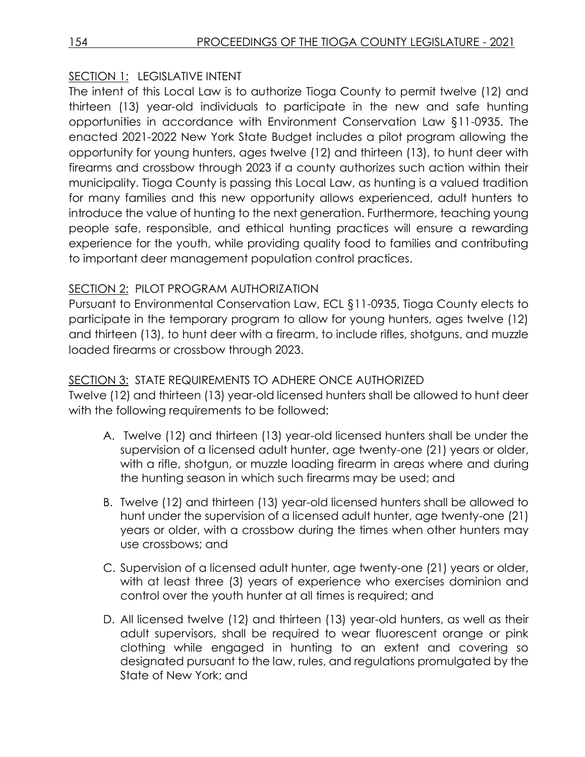## SECTION 1: LEGISLATIVE INTENT

The intent of this Local Law is to authorize Tioga County to permit twelve (12) and thirteen (13) year-old individuals to participate in the new and safe hunting opportunities in accordance with Environment Conservation Law §11-0935. The enacted 2021-2022 New York State Budget includes a pilot program allowing the opportunity for young hunters, ages twelve (12) and thirteen (13), to hunt deer with firearms and crossbow through 2023 if a county authorizes such action within their municipality. Tioga County is passing this Local Law, as hunting is a valued tradition for many families and this new opportunity allows experienced, adult hunters to introduce the value of hunting to the next generation. Furthermore, teaching young people safe, responsible, and ethical hunting practices will ensure a rewarding experience for the youth, while providing quality food to families and contributing to important deer management population control practices.

## SECTION 2: PILOT PROGRAM AUTHORIZATION

Pursuant to Environmental Conservation Law, ECL §11-0935, Tioga County elects to participate in the temporary program to allow for young hunters, ages twelve (12) and thirteen (13), to hunt deer with a firearm, to include rifles, shotguns, and muzzle loaded firearms or crossbow through 2023.

## SECTION 3: STATE REQUIREMENTS TO ADHERE ONCE AUTHORIZED

Twelve (12) and thirteen (13) year-old licensed hunters shall be allowed to hunt deer with the following requirements to be followed:

- A. Twelve (12) and thirteen (13) year-old licensed hunters shall be under the supervision of a licensed adult hunter, age twenty-one (21) years or older, with a rifle, shotgun, or muzzle loading firearm in areas where and during the hunting season in which such firearms may be used; and
- B. Twelve (12) and thirteen (13) year-old licensed hunters shall be allowed to hunt under the supervision of a licensed adult hunter, age twenty-one (21) years or older, with a crossbow during the times when other hunters may use crossbows; and
- C. Supervision of a licensed adult hunter, age twenty-one (21) years or older, with at least three (3) years of experience who exercises dominion and control over the youth hunter at all times is required; and
- D. All licensed twelve (12) and thirteen (13) year-old hunters, as well as their adult supervisors, shall be required to wear fluorescent orange or pink clothing while engaged in hunting to an extent and covering so designated pursuant to the law, rules, and regulations promulgated by the State of New York; and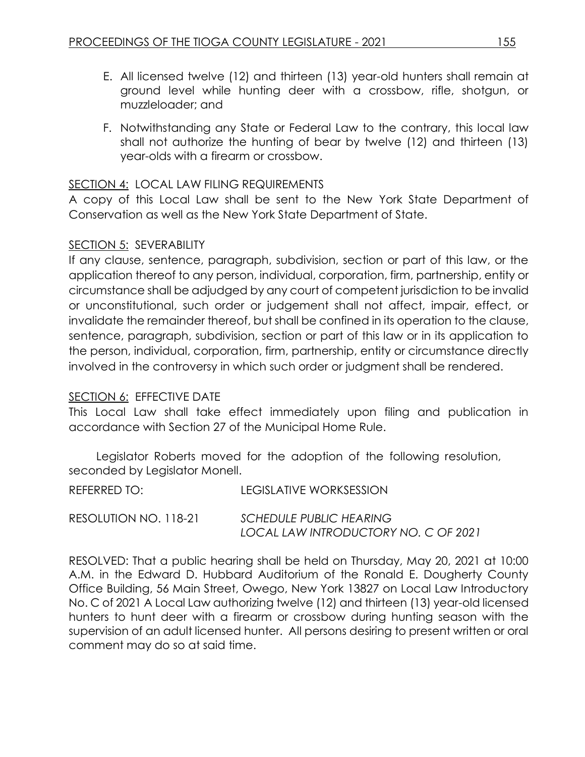- E. All licensed twelve (12) and thirteen (13) year-old hunters shall remain at ground level while hunting deer with a crossbow, rifle, shotgun, or muzzleloader; and
- F. Notwithstanding any State or Federal Law to the contrary, this local law shall not authorize the hunting of bear by twelve (12) and thirteen (13) year-olds with a firearm or crossbow.

#### SECTION 4: LOCAL LAW FILING REQUIREMENTS

A copy of this Local Law shall be sent to the New York State Department of Conservation as well as the New York State Department of State.

#### SECTION 5: SEVERABILITY

If any clause, sentence, paragraph, subdivision, section or part of this law, or the application thereof to any person, individual, corporation, firm, partnership, entity or circumstance shall be adjudged by any court of competent jurisdiction to be invalid or unconstitutional, such order or judgement shall not affect, impair, effect, or invalidate the remainder thereof, but shall be confined in its operation to the clause, sentence, paragraph, subdivision, section or part of this law or in its application to the person, individual, corporation, firm, partnership, entity or circumstance directly involved in the controversy in which such order or judgment shall be rendered.

#### SECTION 6: EFFECTIVE DATE

This Local Law shall take effect immediately upon filing and publication in accordance with Section 27 of the Municipal Home Rule.

Legislator Roberts moved for the adoption of the following resolution, seconded by Legislator Monell.

REFERRED TO: LEGISLATIVE WORKSESSION RESOLUTION NO. 118-21 *SCHEDULE PUBLIC HEARING LOCAL LAW INTRODUCTORY NO. C OF 2021*

RESOLVED: That a public hearing shall be held on Thursday, May 20, 2021 at 10:00 A.M. in the Edward D. Hubbard Auditorium of the Ronald E. Dougherty County Office Building, 56 Main Street, Owego, New York 13827 on Local Law Introductory No. C of 2021 A Local Law authorizing twelve (12) and thirteen (13) year-old licensed hunters to hunt deer with a firearm or crossbow during hunting season with the supervision of an adult licensed hunter. All persons desiring to present written or oral comment may do so at said time.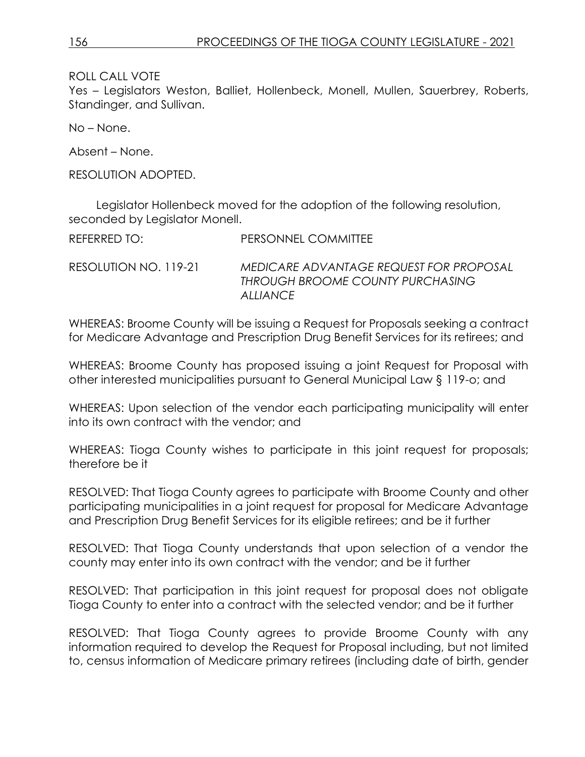ROLL CALL VOTE

Yes – Legislators Weston, Balliet, Hollenbeck, Monell, Mullen, Sauerbrey, Roberts, Standinger, and Sullivan.

No – None.

Absent – None.

RESOLUTION ADOPTED.

Legislator Hollenbeck moved for the adoption of the following resolution, seconded by Legislator Monell.

| REFERRED TO:          | PERSONNEL COMMITTEE                                                                     |
|-----------------------|-----------------------------------------------------------------------------------------|
| RESOLUTION NO. 119-21 | MEDICARE ADVANTAGE REQUEST FOR PROPOSAL<br>THROUGH BROOME COUNTY PURCHASING<br>ALLIANCE |

WHEREAS: Broome County will be issuing a Request for Proposals seeking a contract for Medicare Advantage and Prescription Drug Benefit Services for its retirees; and

WHEREAS: Broome County has proposed issuing a joint Request for Proposal with other interested municipalities pursuant to General Municipal Law § 119-o; and

WHEREAS: Upon selection of the vendor each participating municipality will enter into its own contract with the vendor; and

WHEREAS: Tioga County wishes to participate in this joint request for proposals; therefore be it

RESOLVED: That Tioga County agrees to participate with Broome County and other participating municipalities in a joint request for proposal for Medicare Advantage and Prescription Drug Benefit Services for its eligible retirees; and be it further

RESOLVED: That Tioga County understands that upon selection of a vendor the county may enter into its own contract with the vendor; and be it further

RESOLVED: That participation in this joint request for proposal does not obligate Tioga County to enter into a contract with the selected vendor; and be it further

RESOLVED: That Tioga County agrees to provide Broome County with any information required to develop the Request for Proposal including, but not limited to, census information of Medicare primary retirees (including date of birth, gender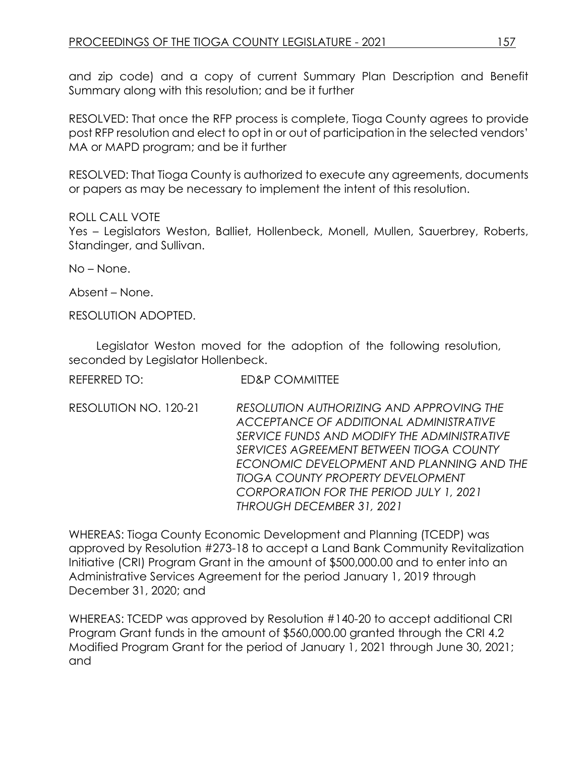and zip code) and a copy of current Summary Plan Description and Benefit Summary along with this resolution; and be it further

RESOLVED: That once the RFP process is complete, Tioga County agrees to provide post RFP resolution and elect to opt in or out of participation in the selected vendors' MA or MAPD program; and be it further

RESOLVED: That Tioga County is authorized to execute any agreements, documents or papers as may be necessary to implement the intent of this resolution.

#### ROLL CALL VOTE

Yes – Legislators Weston, Balliet, Hollenbeck, Monell, Mullen, Sauerbrey, Roberts, Standinger, and Sullivan.

No – None.

Absent – None.

RESOLUTION ADOPTED.

Legislator Weston moved for the adoption of the following resolution, seconded by Legislator Hollenbeck.

| REFERRED TO: | <b>ED&amp;P COMMITTEE</b> |
|--------------|---------------------------|
|              |                           |

RESOLUTION NO. 120-21 *RESOLUTION AUTHORIZING AND APPROVING THE ACCEPTANCE OF ADDITIONAL ADMINISTRATIVE SERVICE FUNDS AND MODIFY THE ADMINISTRATIVE SERVICES AGREEMENT BETWEEN TIOGA COUNTY ECONOMIC DEVELOPMENT AND PLANNING AND THE TIOGA COUNTY PROPERTY DEVELOPMENT CORPORATION FOR THE PERIOD JULY 1, 2021 THROUGH DECEMBER 31, 2021*

WHEREAS: Tioga County Economic Development and Planning (TCEDP) was approved by Resolution #273-18 to accept a Land Bank Community Revitalization Initiative (CRI) Program Grant in the amount of \$500,000.00 and to enter into an Administrative Services Agreement for the period January 1, 2019 through December 31, 2020; and

WHEREAS: TCEDP was approved by Resolution #140-20 to accept additional CRI Program Grant funds in the amount of \$560,000.00 granted through the CRI 4.2 Modified Program Grant for the period of January 1, 2021 through June 30, 2021; and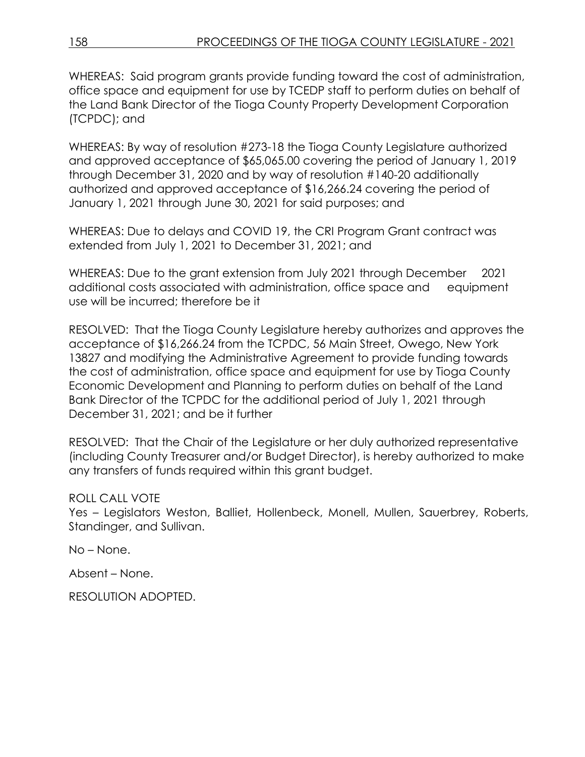WHEREAS: Said program grants provide funding toward the cost of administration, office space and equipment for use by TCEDP staff to perform duties on behalf of the Land Bank Director of the Tioga County Property Development Corporation (TCPDC); and

WHEREAS: By way of resolution #273-18 the Tioga County Legislature authorized and approved acceptance of \$65,065.00 covering the period of January 1, 2019 through December 31, 2020 and by way of resolution #140-20 additionally authorized and approved acceptance of \$16,266.24 covering the period of January 1, 2021 through June 30, 2021 for said purposes; and

WHEREAS: Due to delays and COVID 19, the CRI Program Grant contract was extended from July 1, 2021 to December 31, 2021; and

WHEREAS: Due to the grant extension from July 2021 through December 2021 additional costs associated with administration, office space and equipment use will be incurred; therefore be it

RESOLVED: That the Tioga County Legislature hereby authorizes and approves the acceptance of \$16,266.24 from the TCPDC, 56 Main Street, Owego, New York 13827 and modifying the Administrative Agreement to provide funding towards the cost of administration, office space and equipment for use by Tioga County Economic Development and Planning to perform duties on behalf of the Land Bank Director of the TCPDC for the additional period of July 1, 2021 through December 31, 2021; and be it further

RESOLVED: That the Chair of the Legislature or her duly authorized representative (including County Treasurer and/or Budget Director), is hereby authorized to make any transfers of funds required within this grant budget.

#### ROLL CALL VOTE

Yes – Legislators Weston, Balliet, Hollenbeck, Monell, Mullen, Sauerbrey, Roberts, Standinger, and Sullivan.

No – None.

Absent – None.

RESOLUTION ADOPTED.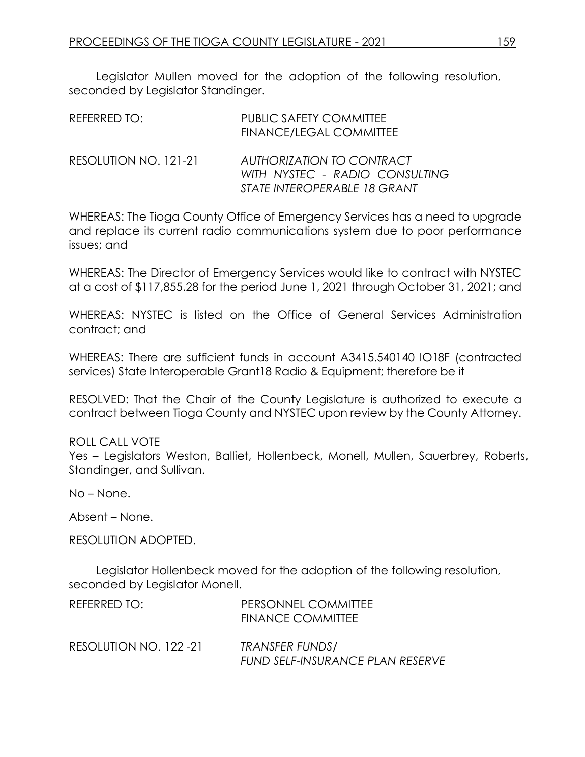Legislator Mullen moved for the adoption of the following resolution, seconded by Legislator Standinger.

| REFERRED TO:          | <b>PUBLIC SAFETY COMMITTEE</b><br><b>FINANCE/LEGAL COMMITTEE</b>                            |
|-----------------------|---------------------------------------------------------------------------------------------|
| RESOLUTION NO. 121-21 | AUTHORIZATION TO CONTRACT<br>WITH NYSTEC - RADIO CONSULTING<br>STATE INTEROPERABLE 18 GRANT |

WHEREAS: The Tioga County Office of Emergency Services has a need to upgrade and replace its current radio communications system due to poor performance issues; and

WHEREAS: The Director of Emergency Services would like to contract with NYSTEC at a cost of \$117,855.28 for the period June 1, 2021 through October 31, 2021; and

WHEREAS: NYSTEC is listed on the Office of General Services Administration contract; and

WHEREAS: There are sufficient funds in account A3415.540140 IO18F (contracted services) State Interoperable Grant18 Radio & Equipment; therefore be it

RESOLVED: That the Chair of the County Legislature is authorized to execute a contract between Tioga County and NYSTEC upon review by the County Attorney.

#### ROLL CALL VOTE

Yes – Legislators Weston, Balliet, Hollenbeck, Monell, Mullen, Sauerbrey, Roberts, Standinger, and Sullivan.

No – None.

Absent – None.

RESOLUTION ADOPTED.

Legislator Hollenbeck moved for the adoption of the following resolution, seconded by Legislator Monell.

| REFERRED TO:           | PERSONNEL COMMITTEE<br>FINANCE COMMITTEE            |
|------------------------|-----------------------------------------------------|
| RESOLUTION NO. 122 -21 | TRANSFER FUNDS/<br>FUND SELF-INSURANCE PLAN RESERVE |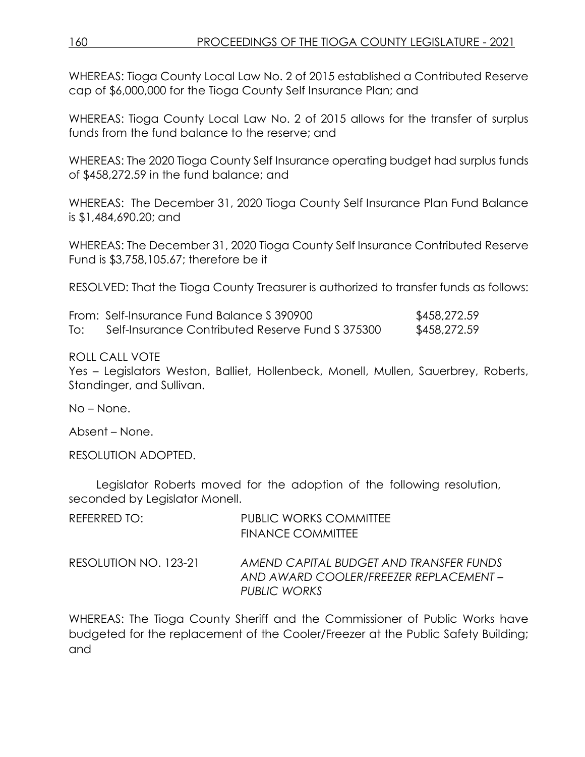WHEREAS: Tioga County Local Law No. 2 of 2015 established a Contributed Reserve cap of \$6,000,000 for the Tioga County Self Insurance Plan; and

WHEREAS: Tioga County Local Law No. 2 of 2015 allows for the transfer of surplus funds from the fund balance to the reserve; and

WHEREAS: The 2020 Tioga County Self Insurance operating budget had surplus funds of \$458,272.59 in the fund balance; and

WHEREAS: The December 31, 2020 Tioga County Self Insurance Plan Fund Balance is \$1,484,690.20; and

WHEREAS: The December 31, 2020 Tioga County Self Insurance Contributed Reserve Fund is \$3,758,105.67; therefore be it

RESOLVED: That the Tioga County Treasurer is authorized to transfer funds as follows:

|     | From: Self-Insurance Fund Balance S 390900       | \$458,272.59 |
|-----|--------------------------------------------------|--------------|
| To: | Self-Insurance Contributed Reserve Fund S 375300 | \$458,272.59 |

#### ROLL CALL VOTE

Yes – Legislators Weston, Balliet, Hollenbeck, Monell, Mullen, Sauerbrey, Roberts, Standinger, and Sullivan.

No – None.

Absent – None.

RESOLUTION ADOPTED.

Legislator Roberts moved for the adoption of the following resolution, seconded by Legislator Monell.

| REFERRED TO:          | <b>PUBLIC WORKS COMMITTEE</b><br><b>FINANCE COMMITTEE</b>                                         |
|-----------------------|---------------------------------------------------------------------------------------------------|
| RESOLUTION NO. 123-21 | AMEND CAPITAL BUDGET AND TRANSFER FUNDS<br>AND AWARD COOLER/FREEZER REPLACEMENT -<br>PUBLIC WORKS |

WHEREAS: The Tioga County Sheriff and the Commissioner of Public Works have budgeted for the replacement of the Cooler/Freezer at the Public Safety Building; and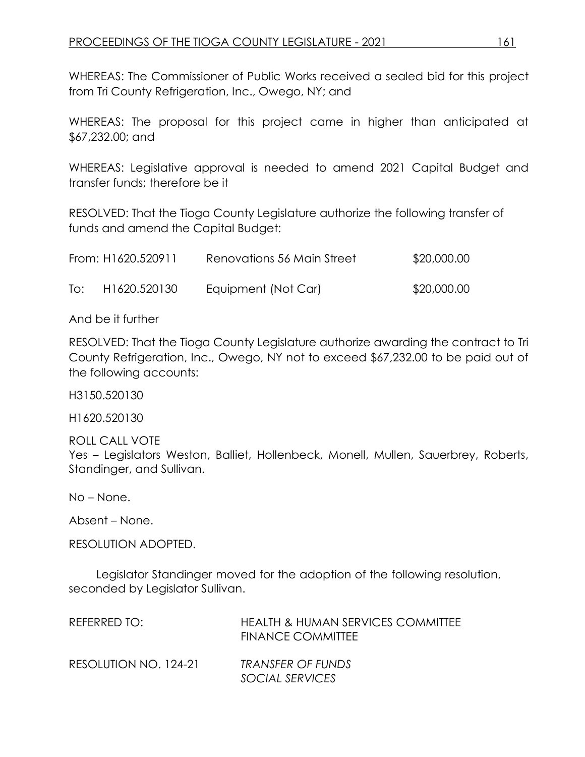WHEREAS: The Commissioner of Public Works received a sealed bid for this project from Tri County Refrigeration, Inc., Owego, NY; and

WHEREAS: The proposal for this project came in higher than anticipated at \$67,232.00; and

WHEREAS: Legislative approval is needed to amend 2021 Capital Budget and transfer funds; therefore be it

RESOLVED: That the Tioga County Legislature authorize the following transfer of funds and amend the Capital Budget:

|     | From: H1620.520911 | Renovations 56 Main Street | \$20,000.00 |
|-----|--------------------|----------------------------|-------------|
| To: | H1620.520130       | Equipment (Not Car)        | \$20,000.00 |

And be it further

RESOLVED: That the Tioga County Legislature authorize awarding the contract to Tri County Refrigeration, Inc., Owego, NY not to exceed \$67,232.00 to be paid out of the following accounts:

H3150.520130

H1620.520130

ROLL CALL VOTE Yes – Legislators Weston, Balliet, Hollenbeck, Monell, Mullen, Sauerbrey, Roberts, Standinger, and Sullivan.

No – None.

Absent – None.

RESOLUTION ADOPTED.

Legislator Standinger moved for the adoption of the following resolution, seconded by Legislator Sullivan.

| REFERRED TO:          | <b>HEALTH &amp; HUMAN SERVICES COMMITTEE</b><br>FINANCE COMMITTEE |
|-----------------------|-------------------------------------------------------------------|
| RESOLUTION NO. 124-21 | TRANSFER OF FUNDS<br>SOCIAL SERVICES                              |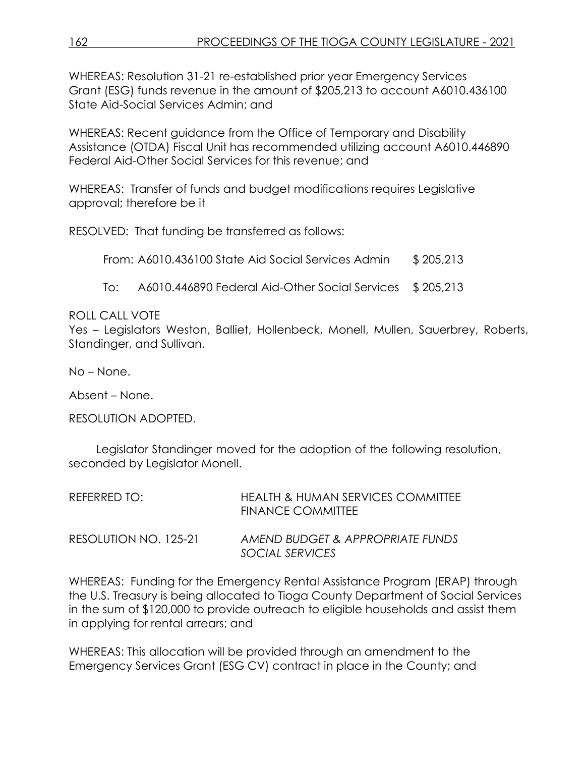WHEREAS: Resolution 31-21 re-established prior year Emergency Services Grant (ESG) funds revenue in the amount of \$205,213 to account A6010.436100 State Aid-Social Services Admin; and

WHEREAS: Recent guidance from the Office of Temporary and Disability Assistance (OTDA) Fiscal Unit has recommended utilizing account A6010.446890 Federal Aid-Other Social Services for this revenue; and

WHEREAS: Transfer of funds and budget modifications requires Legislative approval; therefore be it

RESOLVED: That funding be transferred as follows:

From:  $A6010.436100$  State Aid Social Services Admin  $$205,213$ 

To: A6010.446890 Federal Aid-Other Social Services \$205,213

#### ROLL CALL VOTE

Yes – Legislators Weston, Balliet, Hollenbeck, Monell, Mullen, Sauerbrey, Roberts, Standinger, and Sullivan.

No – None.

Absent – None.

RESOLUTION ADOPTED.

Legislator Standinger moved for the adoption of the following resolution, seconded by Legislator Monell.

| REFERRED TO: I        | HEALTH & HUMAN SERVICES COMMITTEE<br><b>FINANCE COMMITTEE</b> |
|-----------------------|---------------------------------------------------------------|
| RESOLUTION NO. 125-21 | AMEND BUDGET & APPROPRIATE FUNDS<br>SOCIAL SERVICES           |

WHEREAS: Funding for the Emergency Rental Assistance Program (ERAP) through the U.S. Treasury is being allocated to Tioga County Department of Social Services in the sum of \$120,000 to provide outreach to eligible households and assist them in applying for rental arrears; and

WHEREAS: This allocation will be provided through an amendment to the Emergency Services Grant (ESG CV) contract in place in the County; and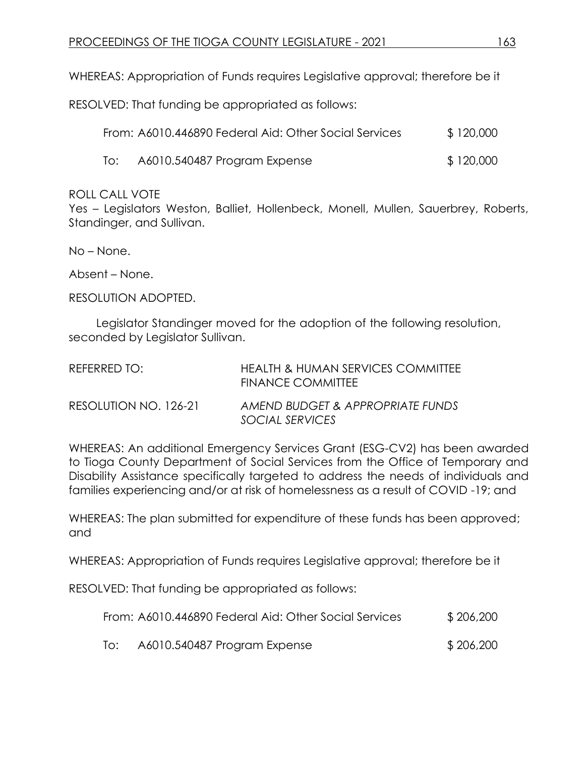WHEREAS: Appropriation of Funds requires Legislative approval; therefore be it

RESOLVED: That funding be appropriated as follows:

|     | From: A6010.446890 Federal Aid: Other Social Services | \$120,000 |
|-----|-------------------------------------------------------|-----------|
| lo: | A6010.540487 Program Expense                          | \$120,000 |

#### ROLL CALL VOTE

Yes – Legislators Weston, Balliet, Hollenbeck, Monell, Mullen, Sauerbrey, Roberts, Standinger, and Sullivan.

No – None.

Absent – None.

RESOLUTION ADOPTED.

Legislator Standinger moved for the adoption of the following resolution, seconded by Legislator Sullivan.

| REFERRED TO:          | HEALTH & HUMAN SERVICES COMMITTEE<br><b>FINANCE COMMITTEE</b> |
|-----------------------|---------------------------------------------------------------|
| RESOLUTION NO. 126-21 | AMEND BUDGET & APPROPRIATE FUNDS<br>SOCIAL SERVICES           |

WHEREAS: An additional Emergency Services Grant (ESG-CV2) has been awarded to Tioga County Department of Social Services from the Office of Temporary and Disability Assistance specifically targeted to address the needs of individuals and families experiencing and/or at risk of homelessness as a result of COVID -19; and

WHEREAS: The plan submitted for expenditure of these funds has been approved; and

WHEREAS: Appropriation of Funds requires Legislative approval; therefore be it

RESOLVED: That funding be appropriated as follows:

|     | From: A6010.446890 Federal Aid: Other Social Services | \$206,200 |
|-----|-------------------------------------------------------|-----------|
| To: | A6010.540487 Program Expense                          | \$206,200 |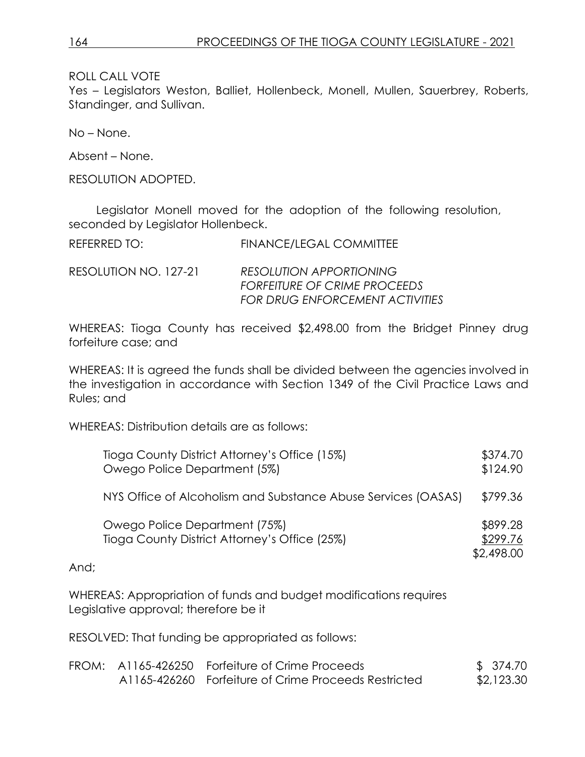ROLL CALL VOTE

Yes – Legislators Weston, Balliet, Hollenbeck, Monell, Mullen, Sauerbrey, Roberts, Standinger, and Sullivan.

No – None.

Absent – None.

RESOLUTION ADOPTED.

Legislator Monell moved for the adoption of the following resolution, seconded by Legislator Hollenbeck.

| REFERRED TO: | <b>FINANCE/LEGAL COMMITTEE</b> |
|--------------|--------------------------------|
|              |                                |

RESOLUTION NO. 127-21 *RESOLUTION APPORTIONING FORFEITURE OF CRIME PROCEEDS FOR DRUG ENFORCEMENT ACTIVITIES* 

WHEREAS: Tioga County has received \$2,498.00 from the Bridget Pinney drug forfeiture case; and

WHEREAS: It is agreed the funds shall be divided between the agencies involved in the investigation in accordance with Section 1349 of the Civil Practice Laws and Rules; and

WHEREAS: Distribution details are as follows:

|      | Tioga County District Attorney's Office (15%)<br>Owego Police Department (5%)  | \$374.70<br>\$124.90               |
|------|--------------------------------------------------------------------------------|------------------------------------|
|      | NYS Office of Alcoholism and Substance Abuse Services (OASAS)                  | \$799.36                           |
|      | Owego Police Department (75%)<br>Tioga County District Attorney's Office (25%) | \$899.28<br>\$299.76<br>\$2,498.00 |
| And; |                                                                                |                                    |

WHEREAS: Appropriation of funds and budget modifications requires Legislative approval; therefore be it

RESOLVED: That funding be appropriated as follows:

|  | FROM: A1165-426250 Forfeiture of Crime Proceeds      | \$ 374.70  |
|--|------------------------------------------------------|------------|
|  | A1165-426260 Forfeiture of Crime Proceeds Restricted | \$2,123.30 |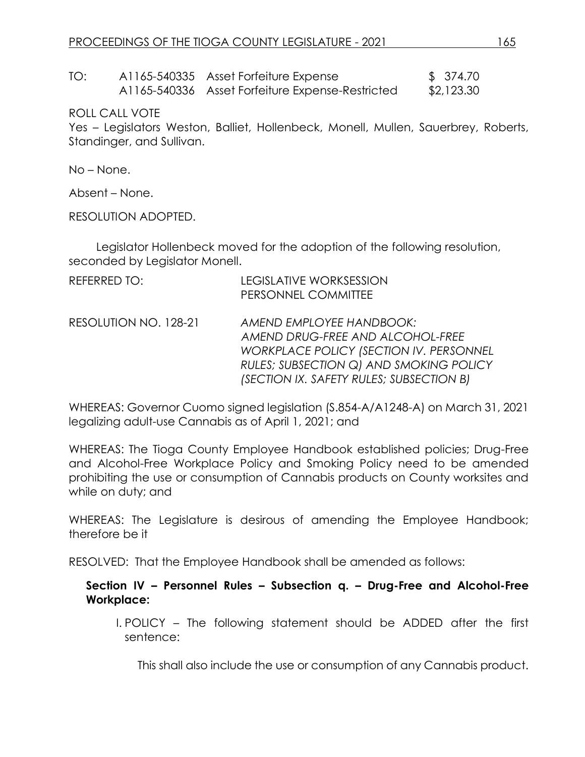TO: A1165-540335 Asset Forfeiture Expense \$ 374.70 A1165-540336 Asset Forfeiture Expense-Restricted \$2,123.30

ROLL CALL VOTE

Yes – Legislators Weston, Balliet, Hollenbeck, Monell, Mullen, Sauerbrey, Roberts, Standinger, and Sullivan.

No – None.

Absent – None.

RESOLUTION ADOPTED.

Legislator Hollenbeck moved for the adoption of the following resolution, seconded by Legislator Monell.

| REFERRED TO:          | <b>LEGISLATIVE WORKSESSION</b><br>PERSONNEL COMMITTEE                                                                                                                                                 |
|-----------------------|-------------------------------------------------------------------------------------------------------------------------------------------------------------------------------------------------------|
| RESOLUTION NO. 128-21 | AMEND EMPLOYEE HANDBOOK:<br>AMEND DRUG-FREE AND ALCOHOL-FREE<br><b>WORKPLACE POLICY (SECTION IV. PERSONNEL</b><br>RULES; SUBSECTION Q) AND SMOKING POLICY<br>(SECTION IX. SAFETY RULES; SUBSECTION B) |

WHEREAS: Governor Cuomo signed legislation (S.854-A/A1248-A) on March 31, 2021 legalizing adult-use Cannabis as of April 1, 2021; and

WHEREAS: The Tioga County Employee Handbook established policies; Drug-Free and Alcohol-Free Workplace Policy and Smoking Policy need to be amended prohibiting the use or consumption of Cannabis products on County worksites and while on duty; and

WHEREAS: The Legislature is desirous of amending the Employee Handbook; therefore be it

RESOLVED: That the Employee Handbook shall be amended as follows:

#### **Section IV – Personnel Rules – Subsection q. – Drug-Free and Alcohol-Free Workplace:**

I. POLICY – The following statement should be ADDED after the first sentence:

This shall also include the use or consumption of any Cannabis product.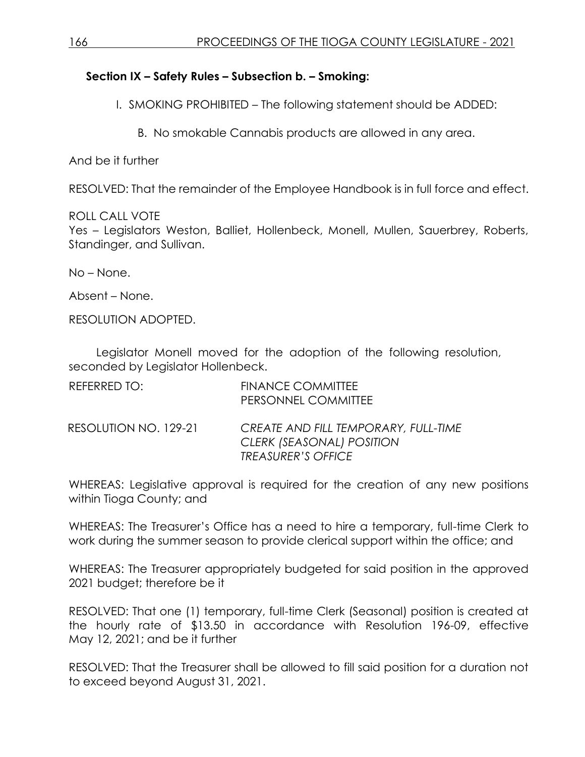### **Section IX – Safety Rules – Subsection b. – Smoking:**

I. SMOKING PROHIBITED – The following statement should be ADDED:

B. No smokable Cannabis products are allowed in any area.

And be it further

RESOLVED: That the remainder of the Employee Handbook is in full force and effect.

ROLL CALL VOTE Yes – Legislators Weston, Balliet, Hollenbeck, Monell, Mullen, Sauerbrey, Roberts, Standinger, and Sullivan.

No – None.

Absent – None.

RESOLUTION ADOPTED.

Legislator Monell moved for the adoption of the following resolution, seconded by Legislator Hollenbeck.

| REFERRED TO:          | <b>FINANCE COMMITTEE</b><br>PERSONNEL COMMITTEE                                                |
|-----------------------|------------------------------------------------------------------------------------------------|
| RESOLUTION NO. 129-21 | CREATE AND FILL TEMPORARY, FULL-TIME<br>CLERK (SEASONAL) POSITION<br><b>TREASURER'S OFFICE</b> |

WHEREAS: Legislative approval is required for the creation of any new positions within Tioga County; and

WHEREAS: The Treasurer's Office has a need to hire a temporary, full-time Clerk to work during the summer season to provide clerical support within the office; and

WHEREAS: The Treasurer appropriately budgeted for said position in the approved 2021 budget; therefore be it

RESOLVED: That one (1) temporary, full-time Clerk (Seasonal) position is created at the hourly rate of \$13.50 in accordance with Resolution 196-09, effective May 12, 2021; and be it further

RESOLVED: That the Treasurer shall be allowed to fill said position for a duration not to exceed beyond August 31, 2021.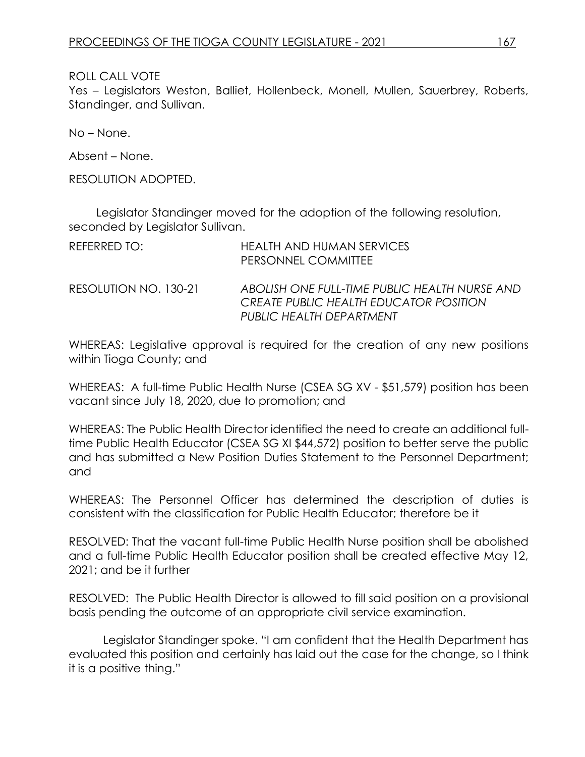#### ROLL CALL VOTE

Yes – Legislators Weston, Balliet, Hollenbeck, Monell, Mullen, Sauerbrey, Roberts, Standinger, and Sullivan.

No – None.

Absent – None.

RESOLUTION ADOPTED.

Legislator Standinger moved for the adoption of the following resolution, seconded by Legislator Sullivan.

| REFERRED TO:          | <b>HEALTH AND HUMAN SERVICES</b><br>PERSONNEL COMMITTEE                                                             |
|-----------------------|---------------------------------------------------------------------------------------------------------------------|
| RESOLUTION NO. 130-21 | ABOLISH ONE FULL-TIME PUBLIC HEALTH NURSE AND<br>CREATE PUBLIC HEALTH EDUCATOR POSITION<br>PUBLIC HEALTH DEPARTMENT |

WHEREAS: Legislative approval is required for the creation of any new positions within Tioga County; and

WHEREAS: A full-time Public Health Nurse (CSEA SG XV - \$51,579) position has been vacant since July 18, 2020, due to promotion; and

WHEREAS: The Public Health Director identified the need to create an additional fulltime Public Health Educator (CSEA SG XI \$44,572) position to better serve the public and has submitted a New Position Duties Statement to the Personnel Department; and

WHEREAS: The Personnel Officer has determined the description of duties is consistent with the classification for Public Health Educator; therefore be it

RESOLVED: That the vacant full-time Public Health Nurse position shall be abolished and a full-time Public Health Educator position shall be created effective May 12, 2021; and be it further

RESOLVED: The Public Health Director is allowed to fill said position on a provisional basis pending the outcome of an appropriate civil service examination.

Legislator Standinger spoke. "I am confident that the Health Department has evaluated this position and certainly has laid out the case for the change, so I think it is a positive thing."